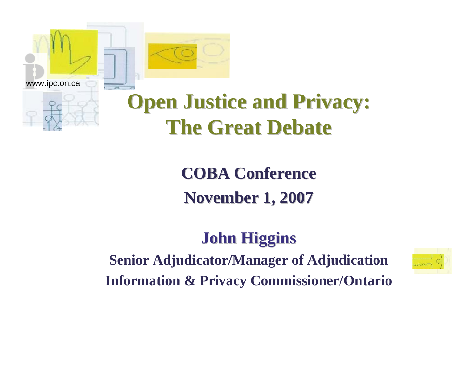

# **Open Justice and Privacy: The Great Debate The Great Debate**

**COBA Conference COBA Conference November 1, 2007 November 1, 2007**

#### **John Higgins John Higgins**

**Senior Adjudicator/Manager of Adjudication Information & Privacy Commissioner/Ontario**

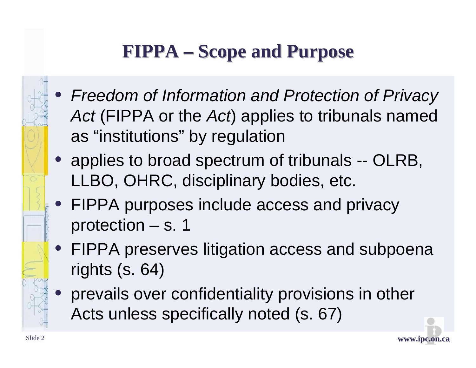# **FIPPA – Scope and Purpose**

- *Freedom of Information and Protection of Privacy Act* (FIPPA or the *Act*) applies to tribunals named as "institutions" by regulation
- applies to broad spectrum of tribunals -- OLRB, LLBO, OHRC, disciplinary bodies, etc.
- FIPPA purposes include access and privacy protection – s. 1
- FIPPA preserves litigation access and subpoena rights (s. 64)
	- prevails over confidentiality provisions in other Acts unless specifically noted (s. 67)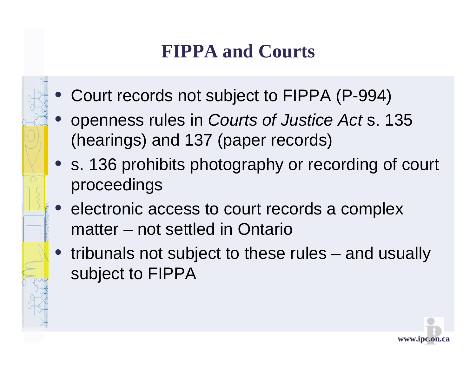### **FIPPA and Courts**

- Court records not subject to FIPPA (P-994)
- openness rules in *Courts of Justice Act* s. 135 (hearings) and 137 (paper records)
- s. 136 prohibits photography or recording of court proceedings
- electronic access to court records a complex matter – not settled in Ontario
- tribunals not subject to these rules and usually subject to FIPPA

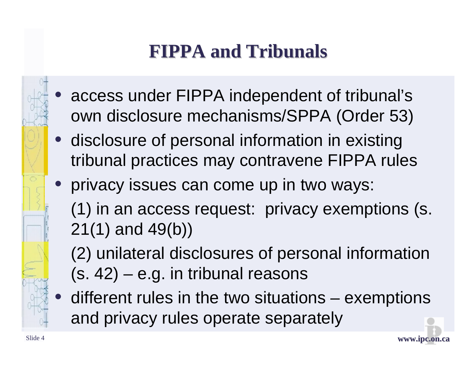# **FIPPA and Tribunals FIPPA and Tribunals**

- access under FIPPA independent of tribunal's own disclosure mechanisms/SPPA (Order 53)
- disclosure of personal information in existing tribunal practices may contravene FIPPA rules
- privacy issues can come up in two ways: (1) in an access request: privacy exemptions (s. 21(1) and 49(b))
	- (2) unilateral disclosures of personal information  $(s. 42)$  – e.g. in tribunal reasons
	- different rules in the two situations exemptions and privacy rules operate separately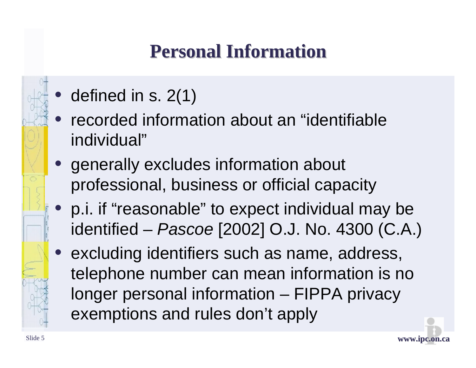### **Personal Information Personal Information**

- defined in s. 2(1)
- recorded information about an "identifiable individual"
- generally excludes information about professional, business or official capacity
- p.i. if "reasonable" to expect individual may be identified – *Pascoe* [2002] O.J. No. 4300 (C.A.)
- excluding identifiers such as name, address, telephone number can mean information is no longer personal information – FIPPA privacy exemptions and rules don't apply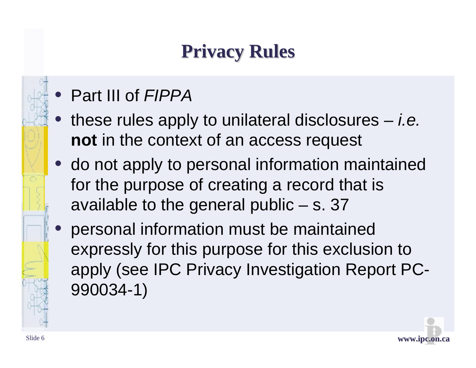### **Privacy Rules Privacy Rules**

- Part III of *FIPPA*
- these rules apply to unilateral disclosures *i.e.*  **not** in the context of an access request
- do not apply to personal information maintained for the purpose of creating a record that is available to the general public  $-$  s. 37
- personal information must be maintained expressly for this purpose for this exclusion to apply (see IPC Privacy Investigation Report PC-990034-1)

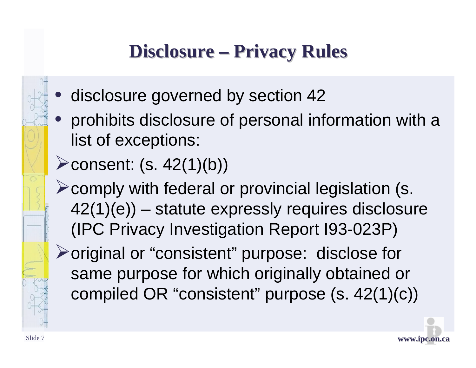### **Disclosure – Privacy Rules**

- disclosure governed by section 42
- prohibits disclosure of personal information with a list of exceptions:
- $\blacktriangleright$  consent: (s. 42(1)(b))
- ¾comply with federal or provincial legislation (s. 42(1)(e)) – statute expressly requires disclosure (IPC Privacy Investigation Report I93-023P)
- ¾original or "consistent" purpose: disclose for same purpose for which originally obtained or compiled OR "consistent" purpose (s. 42(1)(c))

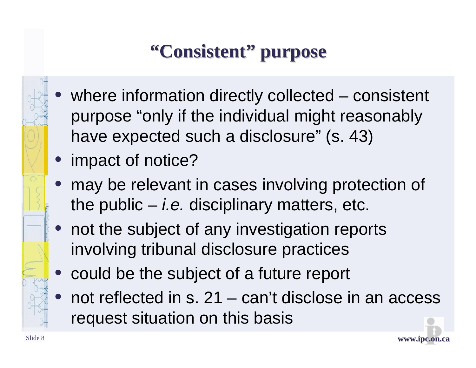# **"Consistent Consistent"purpose purpose**

- where information directly collected consistent purpose "only if the individual might reasonably have expected such a disclosure" (s. 43)
- impact of notice?
- may be relevant in cases involving protection of the public – *i.e.* disciplinary matters, etc.
- not the subject of any investigation reports involving tribunal disclosure practices
- could be the subject of a future report
- not reflected in s.  $21 \text{can't disclose in an access}$ request situation on this basis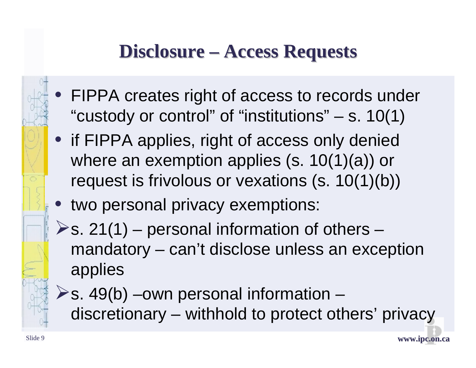#### **Disclosure – Access Requests**

- FIPPA creates right of access to records under "custody or control" of "institutions"  $-$  s. 10(1)
- if FIPPA applies, right of access only denied where an exemption applies (s. 10(1)(a)) or request is frivolous or vexations (s. 10(1)(b))
- two personal privacy exemptions:
- $\triangleright$ s. 21(1) personal information of others mandatory – can't disclose unless an exception applies
- $\triangleright$ s. 49(b) –own personal information discretionary – withhold to protect others' privacy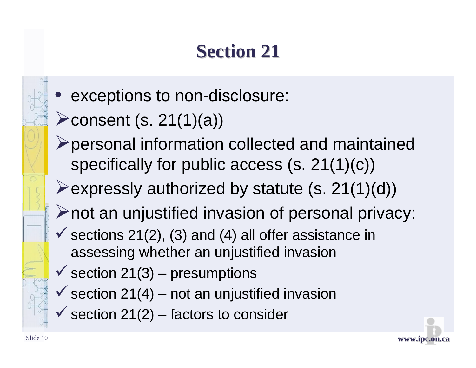### **Section 21 Section 21**

- exceptions to non-disclosure:
- $\blacktriangleright$  consent (s. 21(1)(a))
- ¾personal information collected and maintained specifically for public access (s. 21(1)(c))
- $\blacktriangleright$  expressly authorized by statute (s. 21(1)(d))
- $\triangleright$  not an unjustified invasion of personal privacy:
- $\checkmark$  sections 21(2), (3) and (4) all offer assistance in assessing whether an unjustified invasion
- $\checkmark$  section 21(3) presumptions
- $\checkmark$  section 21(4) not an unjustified invasion
- $\checkmark$  section 21(2) factors to consider

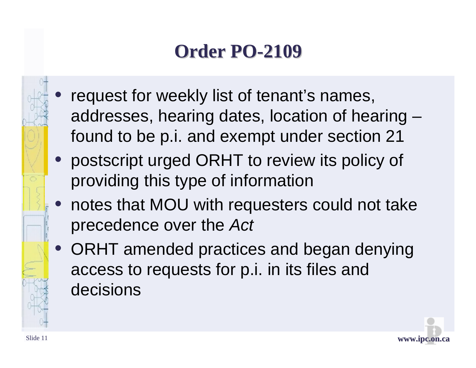### **Order PO Order PO-2109**

- request for weekly list of tenant's names, addresses, hearing dates, location of hearing – found to be p.i. and exempt under section 21
- postscript urged ORHT to review its policy of providing this type of information
- notes that MOU with requesters could not take precedence over the *Act*
- ORHT amended practices and began denying access to requests for p.i. in its files and decisions

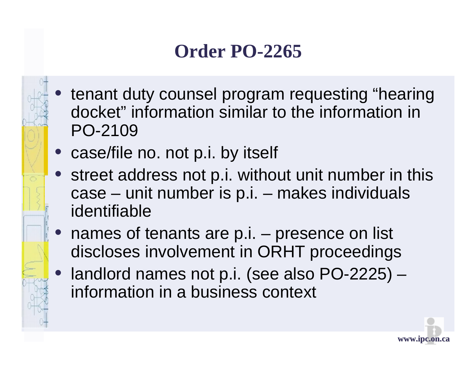### **Order PO-2265**

- tenant duty counsel program requesting "hearing" docket" information similar to the information in PO-2109
- case/file no. not p.i. by itself
- street address not p.i. without unit number in this case – unit number is p.i. – makes individuals identifiable
- names of tenants are p.i. presence on list discloses involvement in ORHT proceedings
- landlord names not p.i. (see also PO-2225) information in a business context

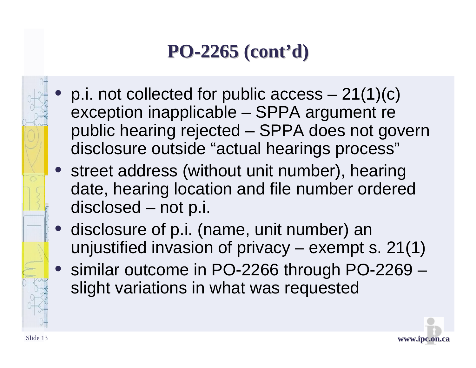# **PO-2265 (cont 2265 (cont'd)**

- p.i. not collected for public  $access 21(1)(c)$ exception inapplicable – SPPA argument re public hearing rejected – SPPA does not govern disclosure outside "actual hearings process"
- street address (without unit number), hearing date, hearing location and file number ordered disclosed – not p.i.
- disclosure of p.i. (name, unit number) an unjustified invasion of privacy – exempt s. 21(1)
- similar outcome in PO-2266 through PO-2269 slight variations in what was requested

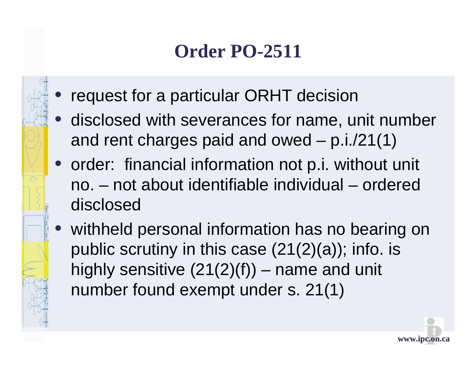### **Order PO-2511**

- request for a particular ORHT decision
- disclosed with severances for name, unit number and rent charges paid and owed – p.i./21(1)
- order: financial information not p.i. without unit no. – not about identifiable individual – ordered disclosed
- withheld personal information has no bearing on public scrutiny in this case  $(21(2)(a))$ ; info. is highly sensitive  $(21(2)(f))$  – name and unit number found exempt under s. 21(1)

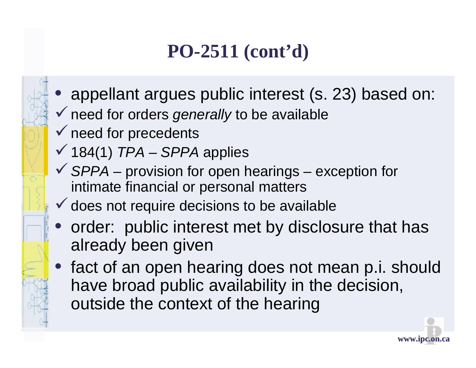### **PO-2511 (cont'd)**

- appellant argues public interest (s. 23) based on: ◆ need for orders *generally* to be available
- $\checkmark$  need for precedents
- $\sqrt{184(1)}$  *TPA SPPA* applies
- 9*SPPA –* provision for open hearings exception for intimate financial or personal matters
- $\checkmark$  does not require decisions to be available
- order: public interest met by disclosure that has already been given
- fact of an open hearing does not mean p.i. should have broad public availability in the decision, outside the context of the hearing

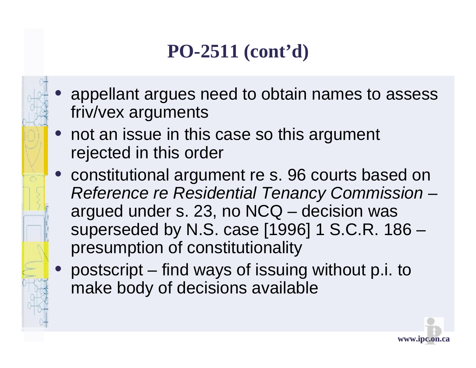### **PO-2511 (cont'd)**

- appellant argues need to obtain names to assess friv/vex arguments
- not an issue in this case so this argument rejected in this order
- constitutional argument re s. 96 courts based on *Reference re Residential Tenancy Commission* – argued under s. 23, no NCQ – decision was superseded by N.S. case [1996] 1 S.C.R. 186 – presumption of constitutionality
- postscript find ways of issuing without p.i. to make body of decisions available

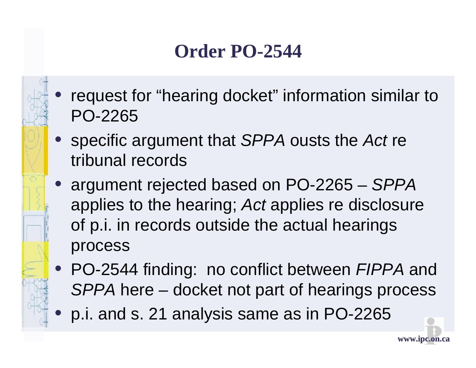#### **Order PO-2544**

- request for "hearing docket" information similar to PO-2265
- specific argument that *SPPA* ousts the *Act* re tribunal records
- argument rejected based on PO-2265 *SPPA*  applies to the hearing; *Act* applies re disclosure of p.i. in records outside the actual hearings process
- PO-2544 finding: no conflict between *FIPPA* and *SPPA* here – docket not part of hearings process
	- p.i. and s. 21 analysis same as in PO-2265